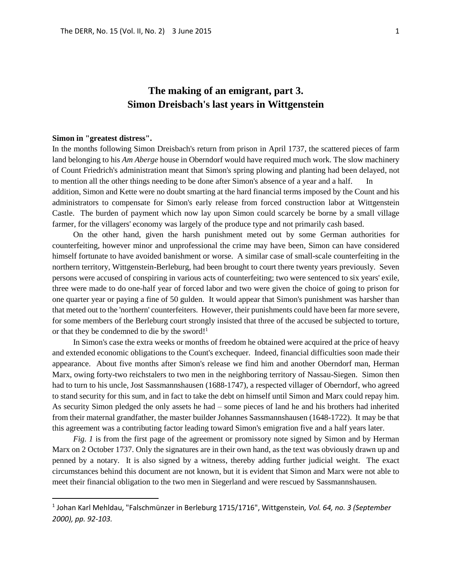# **The making of an emigrant, part 3. Simon Dreisbach's last years in Wittgenstein**

#### **Simon in "greatest distress".**

 $\overline{a}$ 

In the months following Simon Dreisbach's return from prison in April 1737, the scattered pieces of farm land belonging to his *Am Aberge* house in Oberndorf would have required much work. The slow machinery of Count Friedrich's administration meant that Simon's spring plowing and planting had been delayed, not to mention all the other things needing to be done after Simon's absence of a year and a half.

addition, Simon and Kette were no doubt smarting at the hard financial terms imposed by the Count and his administrators to compensate for Simon's early release from forced construction labor at Wittgenstein Castle. The burden of payment which now lay upon Simon could scarcely be borne by a small village farmer, for the villagers' economy was largely of the produce type and not primarily cash based.

On the other hand, given the harsh punishment meted out by some German authorities for counterfeiting, however minor and unprofessional the crime may have been, Simon can have considered himself fortunate to have avoided banishment or worse. A similar case of small-scale counterfeiting in the northern territory, Wittgenstein-Berleburg, had been brought to court there twenty years previously. Seven persons were accused of conspiring in various acts of counterfeiting; two were sentenced to six years' exile, three were made to do one-half year of forced labor and two were given the choice of going to prison for one quarter year or paying a fine of 50 gulden. It would appear that Simon's punishment was harsher than that meted out to the 'northern' counterfeiters. However, their punishments could have been far more severe, for some members of the Berleburg court strongly insisted that three of the accused be subjected to torture, or that they be condemned to die by the sword!<sup>1</sup>

In Simon's case the extra weeks or months of freedom he obtained were acquired at the price of heavy and extended economic obligations to the Count's exchequer. Indeed, financial difficulties soon made their appearance. About five months after Simon's release we find him and another Oberndorf man, Herman Marx, owing forty-two reichstalers to two men in the neighboring territory of Nassau-Siegen. Simon then had to turn to his uncle, Jost Sassmannshausen (1688-1747), a respected villager of Oberndorf, who agreed to stand security for this sum, and in fact to take the debt on himself until Simon and Marx could repay him. As security Simon pledged the only assets he had – some pieces of land he and his brothers had inherited from their maternal grandfather, the master builder Johannes Sassmannshausen (1648-1722). It may be that this agreement was a contributing factor leading toward Simon's emigration five and a half years later.

*Fig. 1* is from the first page of the agreement or promissory note signed by Simon and by Herman Marx on 2 October 1737. Only the signatures are in their own hand, as the text was obviously drawn up and penned by a notary. It is also signed by a witness, thereby adding further judicial weight. The exact circumstances behind this document are not known, but it is evident that Simon and Marx were not able to meet their financial obligation to the two men in Siegerland and were rescued by Sassmannshausen.

<sup>1</sup> Johan Karl Mehldau, "Falschmünzer in Berleburg 1715/1716", Wittgenstein*, Vol. 64, no. 3 (September 2000), pp. 92-103.*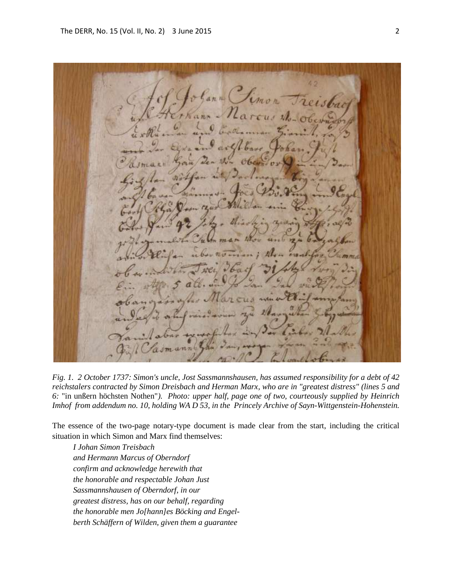ann Pimo ш

*Fig. 1. 2 October 1737: Simon's uncle, Jost Sassmannshausen, has assumed responsibility for a debt of 42 reichstalers contracted by Simon Dreisbach and Herman Marx, who are in "greatest distress" (lines 5 and 6:* "in unßern höchsten Nothen"*). Photo: upper half, page one of two, courteously supplied by Heinrich Imhof from addendum no. 10, holding WA D 53, in the Princely Archive of Sayn-Wittgenstein-Hohenstein.*

The essence of the two-page notary-type document is made clear from the start, including the critical situation in which Simon and Marx find themselves:

*I Johan Simon Treisbach and Hermann Marcus of Oberndorf confirm and acknowledge herewith that the honorable and respectable Johan Just Sassmannshausen of Oberndorf, in our greatest distress, has on our behalf, regarding the honorable men Jo[hann]es Böcking and Engelberth Schäffern of Wilden, given them a guarantee*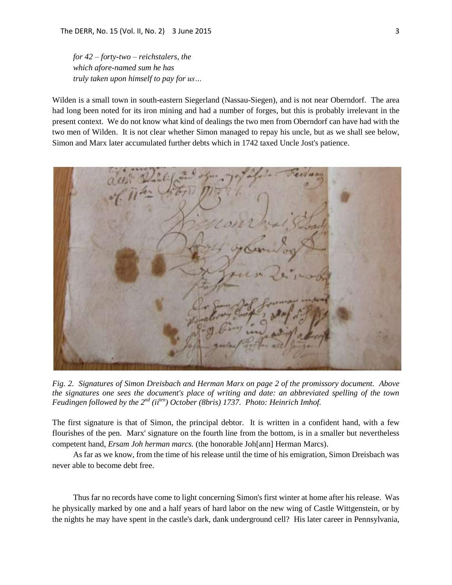*for 42 – forty-two – reichstalers, the which afore-named sum he has truly taken upon himself to pay for us…*

Wilden is a small town in south-eastern Siegerland (Nassau-Siegen), and is not near Oberndorf. The area had long been noted for its iron mining and had a number of forges, but this is probably irrelevant in the present context. We do not know what kind of dealings the two men from Oberndorf can have had with the two men of Wilden. It is not clear whether Simon managed to repay his uncle, but as we shall see below, Simon and Marx later accumulated further debts which in 1742 taxed Uncle Jost's patience.



*Fig. 2. Signatures of Simon Dreisbach and Herman Marx on page 2 of the promissory document. Above the signatures one sees the document's place of writing and date: an abbreviated spelling of the town Feudingen followed by the 2nd (iiten) October (8bris) 1737. Photo: Heinrich Imhof.*

The first signature is that of Simon, the principal debtor. It is written in a confident hand, with a few flourishes of the pen. Marx' signature on the fourth line from the bottom, is in a smaller but nevertheless competent hand, *Ersam Joh herman marcs.* (the honorable Joh[ann] Herman Marcs).

As far as we know, from the time of his release until the time of his emigration, Simon Dreisbach was never able to become debt free.

Thus far no records have come to light concerning Simon's first winter at home after his release. Was he physically marked by one and a half years of hard labor on the new wing of Castle Wittgenstein, or by the nights he may have spent in the castle's dark, dank underground cell? His later career in Pennsylvania,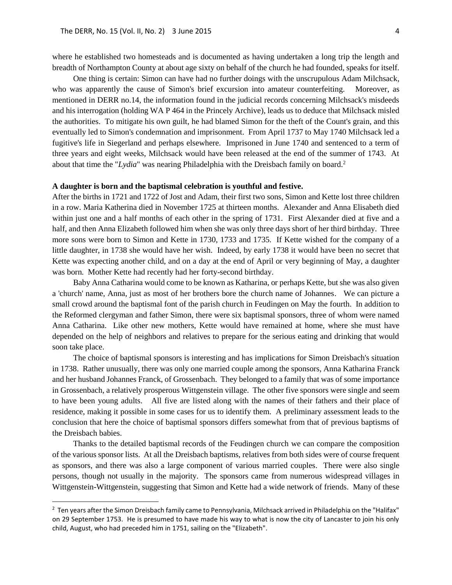where he established two homesteads and is documented as having undertaken a long trip the length and breadth of Northampton County at about age sixty on behalf of the church he had founded, speaks for itself.

One thing is certain: Simon can have had no further doings with the unscrupulous Adam Milchsack, who was apparently the cause of Simon's brief excursion into amateur counterfeiting. Moreover, as mentioned in DERR no.14, the information found in the judicial records concerning Milchsack's misdeeds and his interrogation (holding WA P 464 in the Princely Archive), leads us to deduce that Milchsack misled the authorities. To mitigate his own guilt, he had blamed Simon for the theft of the Count's grain, and this eventually led to Simon's condemnation and imprisonment. From April 1737 to May 1740 Milchsack led a fugitive's life in Siegerland and perhaps elsewhere. Imprisoned in June 1740 and sentenced to a term of three years and eight weeks, Milchsack would have been released at the end of the summer of 1743. At about that time the "*Lydia*" was nearing Philadelphia with the Dreisbach family on board.<sup>2</sup>

#### **A daughter is born and the baptismal celebration is youthful and festive.**

After the births in 1721 and 1722 of Jost and Adam, their first two sons, Simon and Kette lost three children in a row. Maria Katherina died in November 1725 at thirteen months. Alexander and Anna Elisabeth died within just one and a half months of each other in the spring of 1731. First Alexander died at five and a half, and then Anna Elizabeth followed him when she was only three days short of her third birthday. Three more sons were born to Simon and Kette in 1730, 1733 and 1735. If Kette wished for the company of a little daughter, in 1738 she would have her wish. Indeed, by early 1738 it would have been no secret that Kette was expecting another child, and on a day at the end of April or very beginning of May, a daughter was born. Mother Kette had recently had her forty-second birthday.

Baby Anna Catharina would come to be known as Katharina, or perhaps Kette, but she was also given a 'church' name, Anna, just as most of her brothers bore the church name of Johannes. We can picture a small crowd around the baptismal font of the parish church in Feudingen on May the fourth. In addition to the Reformed clergyman and father Simon, there were six baptismal sponsors, three of whom were named Anna Catharina. Like other new mothers, Kette would have remained at home, where she must have depended on the help of neighbors and relatives to prepare for the serious eating and drinking that would soon take place.

The choice of baptismal sponsors is interesting and has implications for Simon Dreisbach's situation in 1738. Rather unusually, there was only one married couple among the sponsors, Anna Katharina Franck and her husband Johannes Franck, of Grossenbach. They belonged to a family that was of some importance in Grossenbach, a relatively prosperous Wittgenstein village. The other five sponsors were single and seem to have been young adults. All five are listed along with the names of their fathers and their place of residence, making it possible in some cases for us to identify them. A preliminary assessment leads to the conclusion that here the choice of baptismal sponsors differs somewhat from that of previous baptisms of the Dreisbach babies.

Thanks to the detailed baptismal records of the Feudingen church we can compare the composition of the various sponsor lists. At all the Dreisbach baptisms, relatives from both sides were of course frequent as sponsors, and there was also a large component of various married couples. There were also single persons, though not usually in the majority. The sponsors came from numerous widespread villages in Wittgenstein-Wittgenstein, suggesting that Simon and Kette had a wide network of friends. Many of these

 $\overline{a}$ 

<sup>&</sup>lt;sup>2</sup> Ten years after the Simon Dreisbach family came to Pennsylvania, Milchsack arrived in Philadelphia on the "Halifax" on 29 September 1753. He is presumed to have made his way to what is now the city of Lancaster to join his only child, August, who had preceded him in 1751, sailing on the "Elizabeth".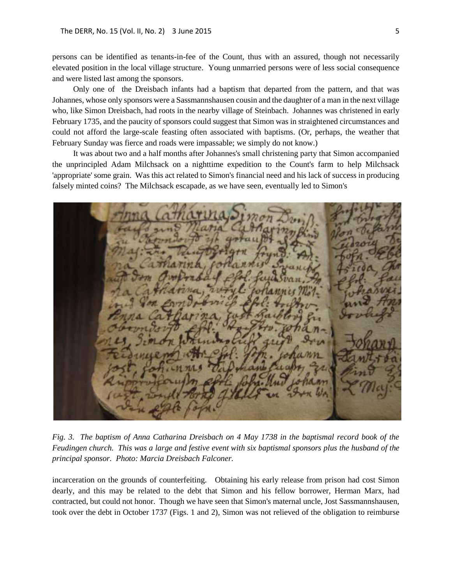persons can be identified as tenants-in-fee of the Count, thus with an assured, though not necessarily elevated position in the local village structure. Young unmarried persons were of less social consequence and were listed last among the sponsors.

Only one of the Dreisbach infants had a baptism that departed from the pattern, and that was Johannes, whose only sponsors were a Sassmannshausen cousin and the daughter of a man in the next village who, like Simon Dreisbach, had roots in the nearby village of Steinbach. Johannes was christened in early February 1735, and the paucity of sponsors could suggest that Simon was in straightened circumstances and could not afford the large-scale feasting often associated with baptisms. (Or, perhaps, the weather that February Sunday was fierce and roads were impassable; we simply do not know.)

It was about two and a half months after Johannes's small christening party that Simon accompanied the unprincipled Adam Milchsack on a nighttime expedition to the Count's farm to help Milchsack 'appropriate' some grain. Was this act related to Simon's financial need and his lack of success in producing falsely minted coins? The Milchsack escapade, as we have seen, eventually led to Simon's



*Fig. 3. The baptism of Anna Catharina Dreisbach on 4 May 1738 in the baptismal record book of the Feudingen church. This was a large and festive event with six baptismal sponsors plus the husband of the principal sponsor. Photo: Marcia Dreisbach Falconer.*

incarceration on the grounds of counterfeiting. Obtaining his early release from prison had cost Simon dearly, and this may be related to the debt that Simon and his fellow borrower, Herman Marx, had contracted, but could not honor. Though we have seen that Simon's maternal uncle, Jost Sassmannshausen, took over the debt in October 1737 (Figs. 1 and 2), Simon was not relieved of the obligation to reimburse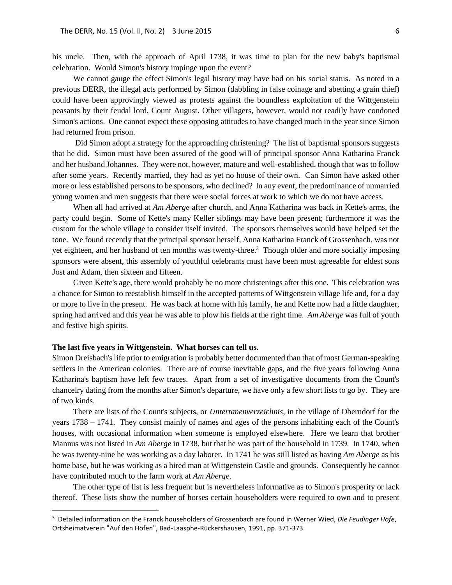his uncle. Then, with the approach of April 1738, it was time to plan for the new baby's baptismal celebration. Would Simon's history impinge upon the event?

We cannot gauge the effect Simon's legal history may have had on his social status. As noted in a previous DERR, the illegal acts performed by Simon (dabbling in false coinage and abetting a grain thief) could have been approvingly viewed as protests against the boundless exploitation of the Wittgenstein peasants by their feudal lord, Count August. Other villagers, however, would not readily have condoned Simon's actions. One cannot expect these opposing attitudes to have changed much in the year since Simon had returned from prison.

Did Simon adopt a strategy for the approaching christening? The list of baptismal sponsors suggests that he did. Simon must have been assured of the good will of principal sponsor Anna Katharina Franck and her husband Johannes. They were not, however, mature and well-established, though that was to follow after some years. Recently married, they had as yet no house of their own. Can Simon have asked other more or less established persons to be sponsors, who declined? In any event, the predominance of unmarried young women and men suggests that there were social forces at work to which we do not have access.

When all had arrived at *Am Aberge* after church, and Anna Katharina was back in Kette's arms, the party could begin. Some of Kette's many Keller siblings may have been present; furthermore it was the custom for the whole village to consider itself invited. The sponsors themselves would have helped set the tone. We found recently that the principal sponsor herself, Anna Katharina Franck of Grossenbach, was not yet eighteen, and her husband of ten months was twenty-three.<sup>3</sup> Though older and more socially imposing sponsors were absent, this assembly of youthful celebrants must have been most agreeable for eldest sons Jost and Adam, then sixteen and fifteen.

Given Kette's age, there would probably be no more christenings after this one. This celebration was a chance for Simon to reestablish himself in the accepted patterns of Wittgenstein village life and, for a day or more to live in the present. He was back at home with his family, he and Kette now had a little daughter, spring had arrived and this year he was able to plow his fields at the right time. *Am Aberge* was full of youth and festive high spirits.

#### **The last five years in Wittgenstein. What horses can tell us.**

 $\ddot{\phantom{a}}$ 

Simon Dreisbach's life prior to emigration is probably better documented than that of most German-speaking settlers in the American colonies. There are of course inevitable gaps, and the five years following Anna Katharina's baptism have left few traces. Apart from a set of investigative documents from the Count's chancelry dating from the months after Simon's departure, we have only a few short lists to go by. They are of two kinds.

There are lists of the Count's subjects, or *Untertanenverzeichnis,* in the village of Oberndorf for the years 1738 – 1741. They consist mainly of names and ages of the persons inhabiting each of the Count's houses, with occasional information when someone is employed elsewhere. Here we learn that brother Mannus was not listed in *Am Aberge* in 1738, but that he was part of the household in 1739. In 1740, when he was twenty-nine he was working as a day laborer. In 1741 he was still listed as having *Am Aberge* as his home base, but he was working as a hired man at Wittgenstein Castle and grounds. Consequently he cannot have contributed much to the farm work at *Am Aberge*.

The other type of list is less frequent but is nevertheless informative as to Simon's prosperity or lack thereof. These lists show the number of horses certain householders were required to own and to present

<sup>3</sup> Detailed information on the Franck householders of Grossenbach are found in Werner Wied, *Die Feudinger Höfe*, Ortsheimatverein "Auf den Höfen", Bad-Laasphe-Rückershausen, 1991, pp. 371-373.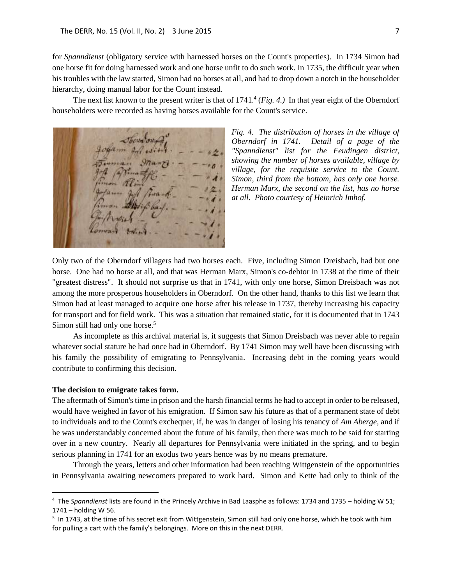for *Spanndienst* (obligatory service with harnessed horses on the Count's properties). In 1734 Simon had one horse fit for doing harnessed work and one horse unfit to do such work. In 1735, the difficult year when his troubles with the law started, Simon had no horses at all, and had to drop down a notch in the householder hierarchy, doing manual labor for the Count instead.

The next list known to the present writer is that of  $1741<sup>4</sup>$  (*Fig. 4.*) In that year eight of the Oberndorf householders were recorded as having horses available for the Count's service.

*Fig. 4. The distribution of horses in the village of Oberndorf in 1741. Detail of a page of the "Spanndienst" list for the Feudingen district, showing the number of horses available, village by village, for the requisite service to the Count. Simon, third from the bottom, has only one horse. Herman Marx, the second on the list, has no horse at all. Photo courtesy of Heinrich Imhof.* 

Only two of the Oberndorf villagers had two horses each. Five, including Simon Dreisbach, had but one horse. One had no horse at all, and that was Herman Marx, Simon's co-debtor in 1738 at the time of their "greatest distress". It should not surprise us that in 1741, with only one horse, Simon Dreisbach was not among the more prosperous householders in Oberndorf. On the other hand, thanks to this list we learn that Simon had at least managed to acquire one horse after his release in 1737, thereby increasing his capacity for transport and for field work. This was a situation that remained static, for it is documented that in 1743 Simon still had only one horse. 5

As incomplete as this archival material is, it suggests that Simon Dreisbach was never able to regain whatever social stature he had once had in Oberndorf. By 1741 Simon may well have been discussing with his family the possibility of emigrating to Pennsylvania. Increasing debt in the coming years would contribute to confirming this decision.

#### **The decision to emigrate takes form.**

 $\overline{a}$ 

The aftermath of Simon's time in prison and the harsh financial terms he had to accept in order to be released, would have weighed in favor of his emigration. If Simon saw his future as that of a permanent state of debt to individuals and to the Count's exchequer, if, he was in danger of losing his tenancy of *Am Aberge,* and if he was understandably concerned about the future of his family, then there was much to be said for starting over in a new country. Nearly all departures for Pennsylvania were initiated in the spring, and to begin serious planning in 1741 for an exodus two years hence was by no means premature.

Through the years, letters and other information had been reaching Wittgenstein of the opportunities in Pennsylvania awaiting newcomers prepared to work hard. Simon and Kette had only to think of the

<sup>4</sup> The *Spanndienst* lists are found in the Princely Archive in Bad Laasphe as follows: 1734 and 1735 – holding W 51; 1741 – holding W 56.

<sup>&</sup>lt;sup>5</sup> In 1743, at the time of his secret exit from Wittgenstein, Simon still had only one horse, which he took with him for pulling a cart with the family's belongings. More on this in the next DERR.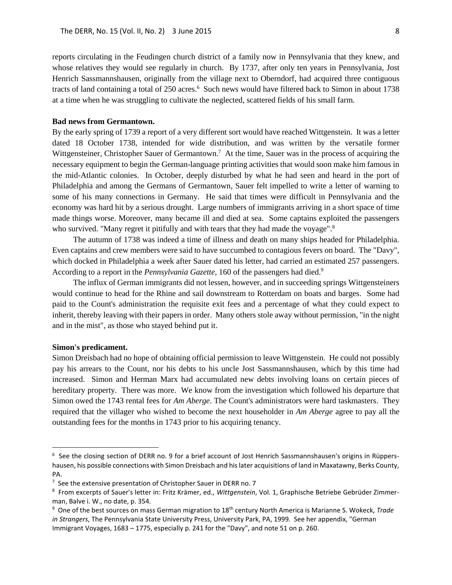reports circulating in the Feudingen church district of a family now in Pennsylvania that they knew, and whose relatives they would see regularly in church. By 1737, after only ten years in Pennsylvania, Jost Henrich Sassmannshausen, originally from the village next to Oberndorf, had acquired three contiguous tracts of land containing a total of 250 acres.<sup>6</sup> Such news would have filtered back to Simon in about 1738 at a time when he was struggling to cultivate the neglected, scattered fields of his small farm.

## **Bad news from Germantown.**

By the early spring of 1739 a report of a very different sort would have reached Wittgenstein. It was a letter dated 18 October 1738, intended for wide distribution, and was written by the versatile former Wittgensteiner, Christopher Sauer of Germantown.<sup>7</sup> At the time, Sauer was in the process of acquiring the necessary equipment to begin the German-language printing activities that would soon make him famous in the mid-Atlantic colonies. In October, deeply disturbed by what he had seen and heard in the port of Philadelphia and among the Germans of Germantown, Sauer felt impelled to write a letter of warning to some of his many connections in Germany. He said that times were difficult in Pennsylvania and the economy was hard hit by a serious drought. Large numbers of immigrants arriving in a short space of time made things worse. Moreover, many became ill and died at sea. Some captains exploited the passengers who survived. "Many regret it pitifully and with tears that they had made the voyage".<sup>8</sup>

The autumn of 1738 was indeed a time of illness and death on many ships headed for Philadelphia. Even captains and crew members were said to have succumbed to contagious fevers on board. The "Davy", which docked in Philadelphia a week after Sauer dated his letter, had carried an estimated 257 passengers. According to a report in the *Pennsylvania Gazette*, 160 of the passengers had died. 9

The influx of German immigrants did not lessen, however, and in succeeding springs Wittgensteiners would continue to head for the Rhine and sail downstream to Rotterdam on boats and barges. Some had paid to the Count's administration the requisite exit fees and a percentage of what they could expect to inherit, thereby leaving with their papers in order. Many others stole away without permission, "in the night and in the mist", as those who stayed behind put it.

### **Simon's predicament.**

 $\overline{a}$ 

Simon Dreisbach had no hope of obtaining official permission to leave Wittgenstein. He could not possibly pay his arrears to the Count, nor his debts to his uncle Jost Sassmannshausen, which by this time had increased. Simon and Herman Marx had accumulated new debts involving loans on certain pieces of hereditary property. There was more. We know from the investigation which followed his departure that Simon owed the 1743 rental fees for *Am Aberge*. The Count's administrators were hard taskmasters. They required that the villager who wished to become the next householder in *Am Aberge* agree to pay all the outstanding fees for the months in 1743 prior to his acquiring tenancy.

<sup>&</sup>lt;sup>6</sup> See the closing section of DERR no. 9 for a brief account of Jost Henrich Sassmannshausen's origins in Rüppershausen, his possible connections with Simon Dreisbach and his later acquisitions of land in Maxatawny, Berks County, PA.

<sup>&</sup>lt;sup>7</sup> See the extensive presentation of Christopher Sauer in DERR no. 7

<sup>8</sup> From excerpts of Sauer's letter in: Fritz Krämer, ed., *Wittgenstein*, Vol. 1, Graphische Betriebe Gebrüder Zimmerman, Balve i. W., no date, p. 354.

<sup>&</sup>lt;sup>9</sup> One of the best sources on mass German migration to 18<sup>th</sup> century North America is Marianne S. Wokeck, Trade *in Strangers*, The Pennsylvania State University Press, University Park, PA, 1999. See her appendix, "German Immigrant Voyages, 1683 – 1775, especially p. 241 for the "Davy", and note 51 on p. 260.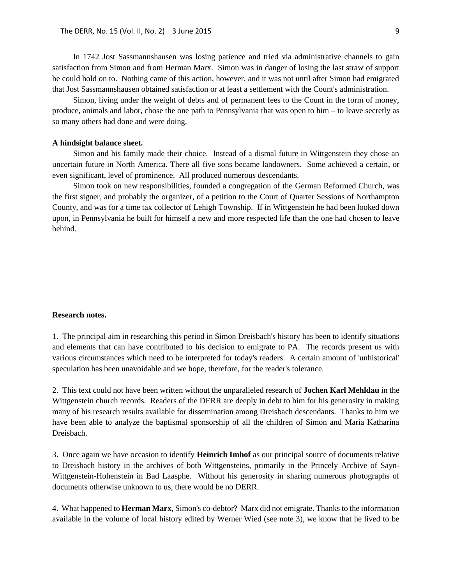In 1742 Jost Sassmannshausen was losing patience and tried via administrative channels to gain satisfaction from Simon and from Herman Marx. Simon was in danger of losing the last straw of support he could hold on to. Nothing came of this action, however, and it was not until after Simon had emigrated that Jost Sassmannshausen obtained satisfaction or at least a settlement with the Count's administration.

Simon, living under the weight of debts and of permanent fees to the Count in the form of money, produce, animals and labor, chose the one path to Pennsylvania that was open to him – to leave secretly as so many others had done and were doing.

#### **A hindsight balance sheet.**

Simon and his family made their choice. Instead of a dismal future in Wittgenstein they chose an uncertain future in North America. There all five sons became landowners. Some achieved a certain, or even significant, level of prominence. All produced numerous descendants.

Simon took on new responsibilities, founded a congregation of the German Reformed Church, was the first signer, and probably the organizer, of a petition to the Court of Quarter Sessions of Northampton County, and was for a time tax collector of Lehigh Township. If in Wittgenstein he had been looked down upon, in Pennsylvania he built for himself a new and more respected life than the one had chosen to leave behind.

#### **Research notes.**

1. The principal aim in researching this period in Simon Dreisbach's history has been to identify situations and elements that can have contributed to his decision to emigrate to PA. The records present us with various circumstances which need to be interpreted for today's readers. A certain amount of 'unhistorical' speculation has been unavoidable and we hope, therefore, for the reader's tolerance.

2. This text could not have been written without the unparalleled research of **Jochen Karl Mehldau** in the Wittgenstein church records. Readers of the DERR are deeply in debt to him for his generosity in making many of his research results available for dissemination among Dreisbach descendants. Thanks to him we have been able to analyze the baptismal sponsorship of all the children of Simon and Maria Katharina Dreisbach.

3. Once again we have occasion to identify **Heinrich Imhof** as our principal source of documents relative to Dreisbach history in the archives of both Wittgensteins, primarily in the Princely Archive of Sayn-Wittgenstein-Hohenstein in Bad Laasphe. Without his generosity in sharing numerous photographs of documents otherwise unknown to us, there would be no DERR.

4. What happened to **Herman Marx**, Simon's co-debtor? Marx did not emigrate. Thanks to the information available in the volume of local history edited by Werner Wied (see note 3), we know that he lived to be